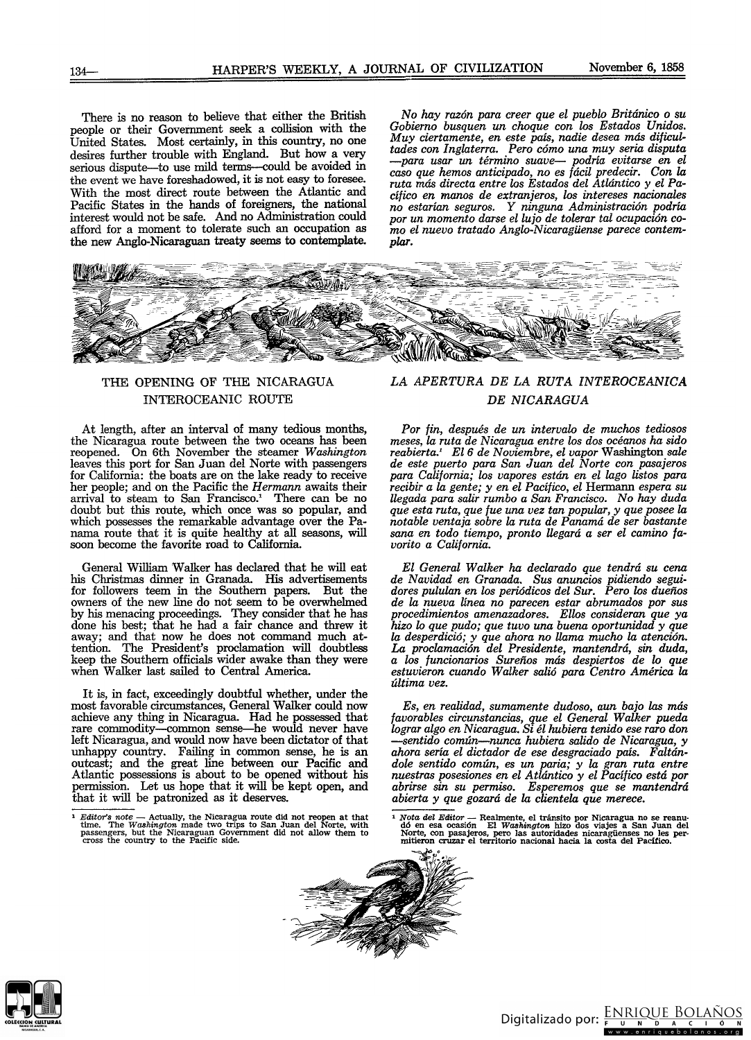There is no reason to believe that either the British people or their Government seek a collision with the United States. Most certainly, in this country, no one desires further trouble with England. But how a very serious dispute-to use mild terms-could be avoided in the event we have foreshadowed, it is not easy to foresee. With the most direct route between the Atlantic and Pacific States in the hands of foreigners, the national interest would not be safe. And no Administration could afford for a moment to tolerate such an occupation as the new Anglo-Nicaraguan treaty seems to contemplate.

No *hay razón para creer que el pueblo Británico* o *su Gobierno busquen un c1wque con los Estados Unidos. Muy ciertamente, en este* país, *nadie desea* más *dificultades con Inglaterra. Pero cómo una muy seria disputa -para usar un término suave- podria evitarse en el caso que hemos anticipado, no* es *focil predecir. Con la ruta* más *directa entre los Estados del Atlántico* y *el Pacífico en manos de extranjeros, los intereses nacionales no estarian seguros.* Y *ninguna Administración podria por un momento darse el lujo de tolerar tal ocupación* co*mo el nuevo tratado Anglo-Nicaragüense parece contemplar.*



# THE OPENING OF THE NICARAGUA INTEROCEANIC ROUTE

At length, after an interval of many tedious months, the Nicaragua route between the two oceans has been reopened. On 6th November the steamer *Washington* leaves this port for San Juan del Norte with passengers for California: the boats are on the lake ready to receive her people; and on the Pacific the *Hermann* awaits their arrival to steam to San Francisco.' There can be no doubt but this route, which once was so popular, and which possesses the remarkable advantage over the Panama route that it is quite healthy at all seasons, will soon become the favorite road to California

General William Walker has declared that he will eat his Christmas dinner in Granada. His advertisements for followers teem in the Southem papers. But the owners of the new line do not seem to be overwhelmed by his menacing proceedings. They consider that he has done his best; that he had a fair chance and threw it away; and that now he does not command much attention. The President's proclamation will doubtless keep the Southem officials wider awake than they were when Walker last sailed to Central America.

It is, in fact, exceedingly doubtful whether, under the most favorable circumstances, General Walker could now achieve any thing in Nicaragua. Had he possessed that rare commodity-common sense--he would never have left Nicaragua, and would now have been dictator of that unhappy country. Failing in common sense, he is an outcast; and the great line between our Pacific and Atlantic possessions is about to be opened without his permission. Let us hope that it will be kept open, and that it will be patronized as it deserves.

## *LA APERTURA DE LA RUTA INTEROCEANICA DE NICARAGUA*

*Por fin, después de un intervalo de muc1ws tediosos meses, la ruta de Nicaragua entre los dos océanos ha sido reabierta.' El6 de Noviembre, el vapor* Washington *sale de este puerto para San Juan del Norte con pasajeros para California; los vapores están en el lago listos para recibir a la gente;* y *en el Pacífico, el* Hermann *espera su Uegada para salir rumbo a San Francisco.* No *hay duda que esta ruta, que fue una vez tan popular,* y *que posee la notable ventaja sobre la ruta de Panamá de ser bastante* sana *en todo tiempo, pronto Uegará a ser el camino favorito a California.*

*El General Walker ha declarado que tendrá su cena de Navidad en Granada.* Sus *anuncios pidiendo segui· dores pululan en los periódicos del Sur. Pero los dueños de la nueva linea no parecen estar abrumados por* sus *procedimientos amenazadores. Ellos consideran que ya hizo lo que pudo; que tuvo una buena oportunidad* y *que la desperdició;* y *que a1wra no Uama muc1w la atención.* La *proclamación del Presidente, mantendrá,* sin *duda, a los funcionarios Sureños* más *despiertos de lo que estuvieron cuando Walker salió para Centro América la última vez.*

*Es, en realidad, sumamente dudoso, aun bajo las más favorables circunstancias, que el General Walker pueda lograr algo en Nicaragua. Si él hubiera tenido ese raro don -sentido común-nunca hubiera salido de Nicaragua,* y *ahora seria el dictador de ese desgraciado* pais. *Faltándale sentido común,* es *un paria;* y *la gran ruta entre nuestras posesiones en el Atlántico* y *el Pacífico está por abrirse sin su permiso. Esperemof> que* se *mantendrá abierta* y *que gozará de la clientela que merece.*

<sup>1</sup> Nota del Editor — Realmente, el tránsito por Nicaragua no se reanudó en esa ocasión El Washington hizo dos viajes a San Juan del Norte, con pasajeros, pero las autoridades nicaragüenses no les pero **mitieron cruzar el territorio nacional hacia la costa del Pacftico.**





*Faitor's note* — Actually, the Nicaragua route did not reopen at that time. The *Washington* made two trips to San Juan del Norte, with **passengers, but the Nicaraguan Government did not allow them to cross the country to the Pacific &ideo**